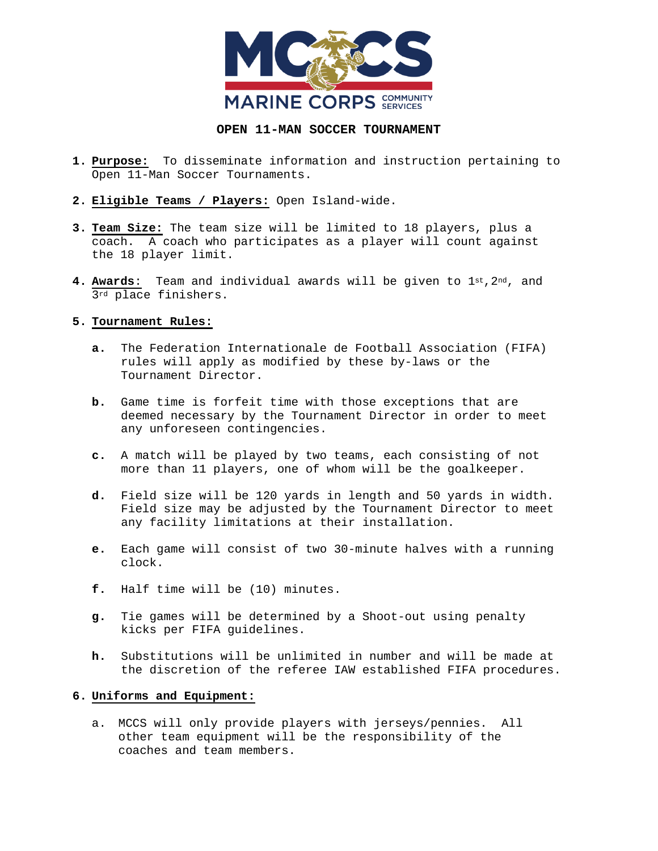

## **OPEN 11-MAN SOCCER TOURNAMENT**

- **1. Purpose:** To disseminate information and instruction pertaining to Open 11-Man Soccer Tournaments.
- **2. Eligible Teams / Players:** Open Island-wide.
- **3. Team Size:** The team size will be limited to 18 players, plus a coach. A coach who participates as a player will count against the 18 player limit.
- **4. Awards**: Team and individual awards will be given to 1st,2nd, and 3rd place finishers.

## **5. Tournament Rules:**

- **a.** The Federation Internationale de Football Association (FIFA) rules will apply as modified by these by-laws or the Tournament Director.
- **b.** Game time is forfeit time with those exceptions that are deemed necessary by the Tournament Director in order to meet any unforeseen contingencies.
- **c.** A match will be played by two teams, each consisting of not more than 11 players, one of whom will be the goalkeeper.
- **d.** Field size will be 120 yards in length and 50 yards in width. Field size may be adjusted by the Tournament Director to meet any facility limitations at their installation.
- **e.** Each game will consist of two 30-minute halves with a running clock.
- **f.** Half time will be (10) minutes.
- **g.** Tie games will be determined by a Shoot-out using penalty kicks per FIFA guidelines.
- **h.** Substitutions will be unlimited in number and will be made at the discretion of the referee IAW established FIFA procedures.

## **6. Uniforms and Equipment:**

a. MCCS will only provide players with jerseys/pennies. All other team equipment will be the responsibility of the coaches and team members.